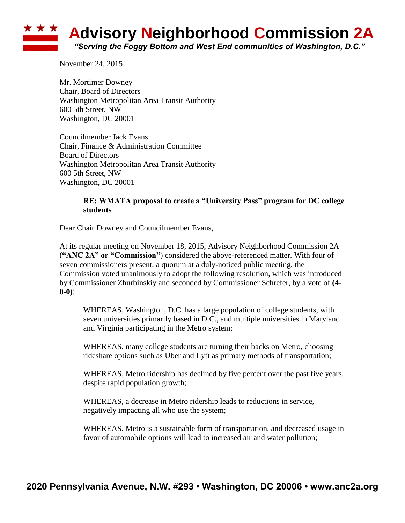## ★ ★ ★ **Advisory Neighborhood Commission 2A** *"Serving the Foggy Bottom and West End communities of Washington, D.C."*

November 24, 2015

Mr. Mortimer Downey Chair, Board of Directors Washington Metropolitan Area Transit Authority 600 5th Street, NW Washington, DC 20001

Councilmember Jack Evans Chair, Finance & Administration Committee Board of Directors Washington Metropolitan Area Transit Authority 600 5th Street, NW Washington, DC 20001

## **RE: WMATA proposal to create a "University Pass" program for DC college students**

Dear Chair Downey and Councilmember Evans,

At its regular meeting on November 18, 2015, Advisory Neighborhood Commission 2A (**"ANC 2A" or "Commission"**) considered the above-referenced matter. With four of seven commissioners present, a quorum at a duly-noticed public meeting, the Commission voted unanimously to adopt the following resolution, which was introduced by Commissioner Zhurbinskiy and seconded by Commissioner Schrefer, by a vote of **(4- 0-0)**:

WHEREAS, Washington, D.C. has a large population of college students, with seven universities primarily based in D.C., and multiple universities in Maryland and Virginia participating in the Metro system;

WHEREAS, many college students are turning their backs on Metro, choosing rideshare options such as Uber and Lyft as primary methods of transportation;

WHEREAS, Metro ridership has declined by five percent over the past five years, despite rapid population growth;

WHEREAS, a decrease in Metro ridership leads to reductions in service, negatively impacting all who use the system;

WHEREAS, Metro is a sustainable form of transportation, and decreased usage in favor of automobile options will lead to increased air and water pollution;